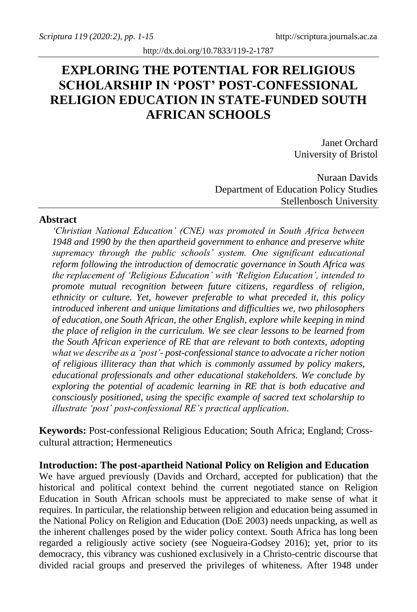# **EXPLORING THE POTENTIAL FOR RELIGIOUS SCHOLARSHIP IN 'POST' POST-CONFESSIONAL RELIGION EDUCATION IN STATE-FUNDED SOUTH AFRICAN SCHOOLS**

Janet Orchard University of Bristol

Nuraan Davids Department of Education Policy Studies Stellenbosch University

### **Abstract**

*'Christian National Education' (CNE) was promoted in South Africa between 1948 and 1990 by the then apartheid government to enhance and preserve white supremacy through the public schools' system. One significant educational reform following the introduction of democratic governance in South Africa was the replacement of 'Religious Education' with 'Religion Education', intended to promote mutual recognition between future citizens, regardless of religion, ethnicity or culture. Yet, however preferable to what preceded it, this policy introduced inherent and unique limitations and difficulties we, two philosophers of education, one South African, the other English, explore while keeping in mind the place of religion in the curriculum. We see clear lessons to be learned from the South African experience of RE that are relevant to both contexts, adopting what we describe as a 'post'- post-confessional stance to advocate a richer notion of religious illiteracy than that which is commonly assumed by policy makers, educational professionals and other educational stakeholders. We conclude by exploring the potential of academic learning in RE that is both educative and consciously positioned, using the specific example of sacred text scholarship to illustrate 'post' post-confessional RE's practical application.*

**Keywords:** Post-confessional Religious Education; South Africa; England; Crosscultural attraction; Hermeneutics

### **Introduction: The post-apartheid National Policy on Religion and Education**

We have argued previously (Davids and Orchard, accepted for publication) that the historical and political context behind the current negotiated stance on Religion Education in South African schools must be appreciated to make sense of what it requires. In particular, the relationship between religion and education being assumed in the National Policy on Religion and Education (DoE 2003) needs unpacking, as well as the inherent challenges posed by the wider policy context. South Africa has long been regarded a religiously active society (see Nogueira-Godsey 2016); yet, prior to its democracy, this vibrancy was cushioned exclusively in a Christo-centric discourse that divided racial groups and preserved the privileges of whiteness. After 1948 under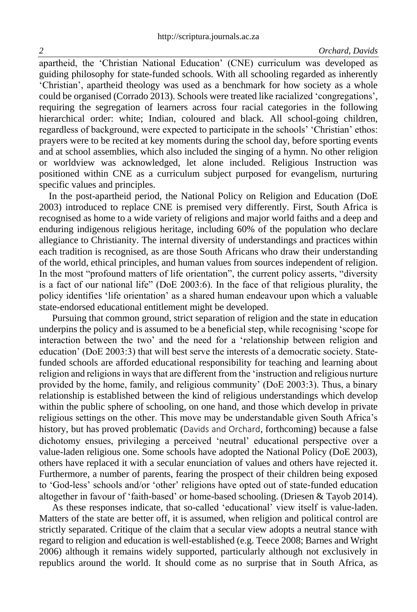apartheid, the 'Christian National Education' (CNE) curriculum was developed as guiding philosophy for state-funded schools. With all schooling regarded as inherently 'Christian', apartheid theology was used as a benchmark for how society as a whole could be organised (Corrado 2013). Schools were treated like racialized 'congregations', requiring the segregation of learners across four racial categories in the following hierarchical order: white; Indian, coloured and black. All school-going children, regardless of background, were expected to participate in the schools' 'Christian' ethos: prayers were to be recited at key moments during the school day, before sporting events and at school assemblies, which also included the singing of a hymn. No other religion or worldview was acknowledged, let alone included. Religious Instruction was positioned within CNE as a curriculum subject purposed for evangelism, nurturing specific values and principles.

 In the post-apartheid period, the National Policy on Religion and Education (DoE 2003) introduced to replace CNE is premised very differently. First, South Africa is recognised as home to a wide variety of religions and major world faiths and a deep and enduring indigenous religious heritage, including 60% of the population who declare allegiance to Christianity. The internal diversity of understandings and practices within each tradition is recognised, as are those South Africans who draw their understanding of the world, ethical principles, and human values from sources independent of religion. In the most "profound matters of life orientation", the current policy asserts, "diversity is a fact of our national life" (DoE 2003:6). In the face of that religious plurality, the policy identifies 'life orientation' as a shared human endeavour upon which a valuable state-endorsed educational entitlement might be developed.

Pursuing that common ground, strict separation of religion and the state in education underpins the policy and is assumed to be a beneficial step, while recognising 'scope for interaction between the two' and the need for a 'relationship between religion and education' (DoE 2003:3) that will best serve the interests of a democratic society. Statefunded schools are afforded educational responsibility for teaching and learning about religion and religions in ways that are different from the 'instruction and religious nurture provided by the home, family, and religious community' (DoE 2003:3). Thus, a binary relationship is established between the kind of religious understandings which develop within the public sphere of schooling, on one hand, and those which develop in private religious settings on the other. This move may be understandable given South Africa's history, but has proved problematic (Davids and Orchard, forthcoming) because a false dichotomy ensues, privileging a perceived 'neutral' educational perspective over a value-laden religious one. Some schools have adopted the National Policy (DoE 2003), others have replaced it with a secular enunciation of values and others have rejected it. Furthermore, a number of parents, fearing the prospect of their children being exposed to 'God-less' schools and/or 'other' religions have opted out of state-funded education altogether in favour of 'faith-based' or home-based schooling. (Driesen & Tayob 2014).

As these responses indicate, that so-called 'educational' view itself is value-laden. Matters of the state are better off, it is assumed, when religion and political control are strictly separated. Critique of the claim that a secular view adopts a neutral stance with regard to religion and education is well-established (e.g. Teece 2008; Barnes and Wright 2006) although it remains widely supported, particularly although not exclusively in republics around the world. It should come as no surprise that in South Africa, as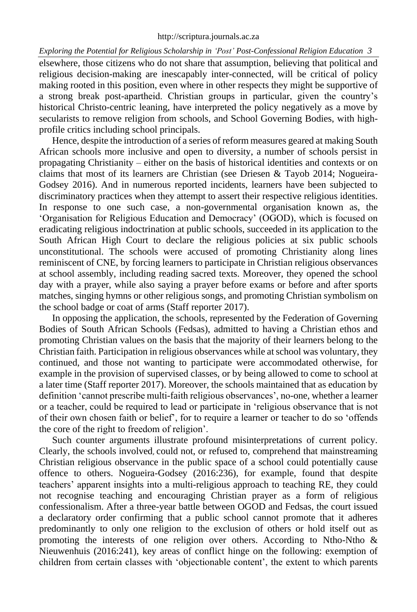elsewhere, those citizens who do not share that assumption, believing that political and religious decision-making are inescapably inter-connected, will be critical of policy making rooted in this position, even where in other respects they might be supportive of a strong break post-apartheid. Christian groups in particular, given the country's historical Christo-centric leaning, have interpreted the policy negatively as a move by secularists to remove religion from schools, and School Governing Bodies, with highprofile critics including school principals.

Hence, despite the introduction of a series of reform measures geared at making South African schools more inclusive and open to diversity, a number of schools persist in propagating Christianity – either on the basis of historical identities and contexts or on claims that most of its learners are Christian (see Driesen & Tayob 2014; Nogueira-Godsey 2016). And in numerous reported incidents, learners have been subjected to discriminatory practices when they attempt to assert their respective religious identities. In response to one such case, a non-governmental organisation known as, the 'Organisation for Religious Education and Democracy' (OGOD), which is focused on eradicating religious indoctrination at public schools, succeeded in its application to the South African High Court to declare the religious policies at six public schools unconstitutional. The schools were accused of promoting Christianity along lines reminiscent of CNE, by forcing learners to participate in Christian religious observances at school assembly, including reading sacred texts. Moreover, they opened the school day with a prayer, while also saying a prayer before exams or before and after sports matches, singing hymns or other religious songs, and promoting Christian symbolism on the school badge or coat of arms (Staff reporter 2017).

In opposing the application, the schools, represented by the Federation of Governing Bodies of South African Schools (Fedsas), admitted to having a Christian ethos and promoting Christian values on the basis that the majority of their learners belong to the Christian faith. Participation in religious observances while at school was voluntary, they continued, and those not wanting to participate were accommodated otherwise, for example in the provision of supervised classes, or by being allowed to come to school at a later time (Staff reporter 2017). Moreover, the schools maintained that as education by definition 'cannot prescribe multi-faith religious observances', no-one, whether a learner or a teacher, could be required to lead or participate in 'religious observance that is not of their own chosen faith or belief', for to require a learner or teacher to do so 'offends the core of the right to freedom of religion'.

Such counter arguments illustrate profound misinterpretations of current policy. Clearly, the schools involved, could not, or refused to, comprehend that mainstreaming Christian religious observance in the public space of a school could potentially cause offence to others. Nogueira-Godsey (2016:236), for example, found that despite teachers' apparent insights into a multi-religious approach to teaching RE, they could not recognise teaching and encouraging Christian prayer as a form of religious confessionalism. After a three-year battle between OGOD and Fedsas, the court issued a declaratory order confirming that a public school cannot promote that it adheres predominantly to only one religion to the exclusion of others or hold itself out as promoting the interests of one religion over others. According to Ntho-Ntho & Nieuwenhuis (2016:241), key areas of conflict hinge on the following: exemption of children from certain classes with 'objectionable content', the extent to which parents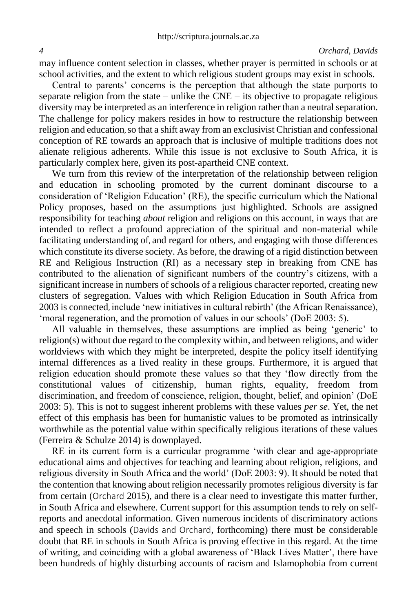may influence content selection in classes, whether prayer is permitted in schools or at school activities, and the extent to which religious student groups may exist in schools.

Central to parents' concerns is the perception that although the state purports to separate religion from the state – unlike the  $CNE -$  its objective to propagate religious diversity may be interpreted as an interference in religion rather than a neutral separation. The challenge for policy makers resides in how to restructure the relationship between religion and education, so that a shift away from an exclusivist Christian and confessional conception of RE towards an approach that is inclusive of multiple traditions does not alienate religious adherents. While this issue is not exclusive to South Africa, it is particularly complex here, given its post-apartheid CNE context.

We turn from this review of the interpretation of the relationship between religion and education in schooling promoted by the current dominant discourse to a consideration of 'Religion Education' (RE), the specific curriculum which the National Policy proposes, based on the assumptions just highlighted. Schools are assigned responsibility for teaching *about* religion and religions on this account, in ways that are intended to reflect a profound appreciation of the spiritual and non-material while facilitating understanding of, and regard for others, and engaging with those differences which constitute its diverse society. As before, the drawing of a rigid distinction between RE and Religious Instruction (RI) as a necessary step in breaking from CNE has contributed to the alienation of significant numbers of the country's citizens, with a significant increase in numbers of schools of a religious character reported, creating new clusters of segregation. Values with which Religion Education in South Africa from 2003 is connected, include 'new initiatives in cultural rebirth' (the African Renaissance), 'moral regeneration, and the promotion of values in our schools' (DoE 2003: 5).

All valuable in themselves, these assumptions are implied as being 'generic' to religion(s) without due regard to the complexity within, and between religions, and wider worldviews with which they might be interpreted, despite the policy itself identifying internal differences as a lived reality in these groups. Furthermore, it is argued that religion education should promote these values so that they 'flow directly from the constitutional values of citizenship, human rights, equality, freedom from discrimination, and freedom of conscience, religion, thought, belief, and opinion' (DoE 2003: 5). This is not to suggest inherent problems with these values *per se*. Yet, the net effect of this emphasis has been for humanistic values to be promoted as intrinsically worthwhile as the potential value within specifically religious iterations of these values (Ferreira & Schulze 2014) is downplayed.

RE in its current form is a curricular programme 'with clear and age-appropriate educational aims and objectives for teaching and learning about religion, religions, and religious diversity in South Africa and the world' (DoE 2003: 9). It should be noted that the contention that knowing about religion necessarily promotes religious diversity is far from certain (Orchard 2015), and there is a clear need to investigate this matter further, in South Africa and elsewhere. Current support for this assumption tends to rely on selfreports and anecdotal information. Given numerous incidents of discriminatory actions and speech in schools (Davids and Orchard, forthcoming) there must be considerable doubt that RE in schools in South Africa is proving effective in this regard. At the time of writing, and coinciding with a global awareness of 'Black Lives Matter', there have been hundreds of highly disturbing accounts of racism and Islamophobia from current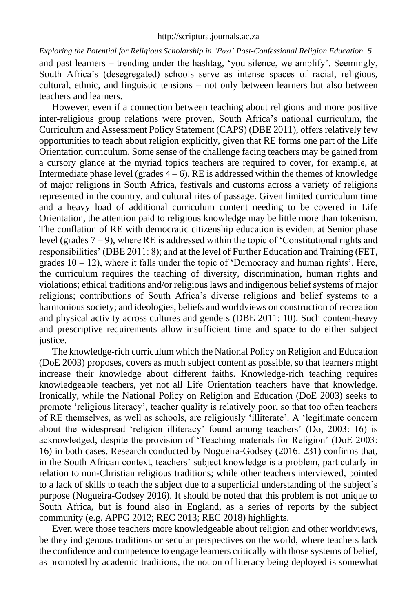*Exploring the Potential for Religious Scholarship in 'Post' Post-Confessional Religion Education 5* and past learners – trending under the hashtag, 'you silence, we amplify'. Seemingly, South Africa's (desegregated) schools serve as intense spaces of racial, religious, cultural, ethnic, and linguistic tensions – not only between learners but also between teachers and learners.

However, even if a connection between teaching about religions and more positive inter-religious group relations were proven, South Africa's national curriculum, the Curriculum and Assessment Policy Statement (CAPS) (DBE 2011), offers relatively few opportunities to teach about religion explicitly, given that RE forms one part of the Life Orientation curriculum. Some sense of the challenge facing teachers may be gained from a cursory glance at the myriad topics teachers are required to cover, for example, at Intermediate phase level (grades  $4 - 6$ ). RE is addressed within the themes of knowledge of major religions in South Africa, festivals and customs across a variety of religions represented in the country, and cultural rites of passage. Given limited curriculum time and a heavy load of additional curriculum content needing to be covered in Life Orientation, the attention paid to religious knowledge may be little more than tokenism. The conflation of RE with democratic citizenship education is evident at Senior phase level (grades 7 – 9), where RE is addressed within the topic of 'Constitutional rights and responsibilities' (DBE 2011: 8); and at the level of Further Education and Training (FET, grades  $10 - 12$ ), where it falls under the topic of 'Democracy and human rights'. Here, the curriculum requires the teaching of diversity, discrimination, human rights and violations; ethical traditions and/or religious laws and indigenous belief systems of major religions; contributions of South Africa's diverse religions and belief systems to a harmonious society; and ideologies, beliefs and worldviews on construction of recreation and physical activity across cultures and genders (DBE 2011: 10). Such content-heavy and prescriptive requirements allow insufficient time and space to do either subject justice.

The knowledge-rich curriculum which the National Policy on Religion and Education (DoE 2003) proposes, covers as much subject content as possible, so that learners might increase their knowledge about different faiths. Knowledge-rich teaching requires knowledgeable teachers, yet not all Life Orientation teachers have that knowledge. Ironically, while the National Policy on Religion and Education (DoE 2003) seeks to promote 'religious literacy', teacher quality is relatively poor, so that too often teachers of RE themselves, as well as schools, are religiously 'illiterate'. A 'legitimate concern about the widespread 'religion illiteracy' found among teachers' (Do, 2003: 16) is acknowledged, despite the provision of 'Teaching materials for Religion' (DoE 2003: 16) in both cases. Research conducted by Nogueira-Godsey (2016: 231) confirms that, in the South African context, teachers' subject knowledge is a problem, particularly in relation to non-Christian religious traditions; while other teachers interviewed, pointed to a lack of skills to teach the subject due to a superficial understanding of the subject's purpose (Nogueira-Godsey 2016). It should be noted that this problem is not unique to South Africa, but is found also in England, as a series of reports by the subject community (e.g. APPG 2012; REC 2013; REC 2018) highlights.

Even were those teachers more knowledgeable about religion and other worldviews, be they indigenous traditions or secular perspectives on the world, where teachers lack the confidence and competence to engage learners critically with those systems of belief, as promoted by academic traditions, the notion of literacy being deployed is somewhat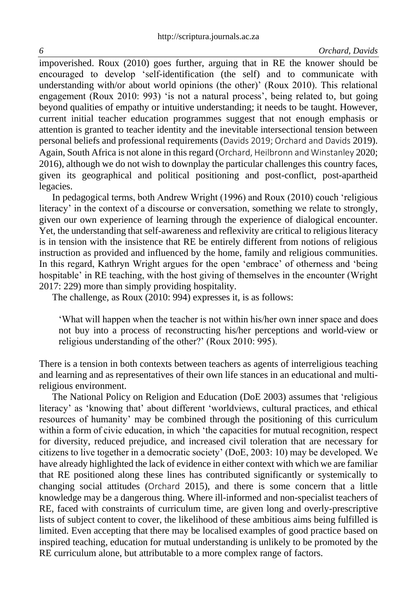impoverished. Roux (2010) goes further, arguing that in RE the knower should be encouraged to develop 'self-identification (the self) and to communicate with understanding with/or about world opinions (the other)' (Roux 2010). This relational engagement (Roux 2010: 993) 'is not a natural process', being related to, but going beyond qualities of empathy or intuitive understanding; it needs to be taught. However, current initial teacher education programmes suggest that not enough emphasis or attention is granted to teacher identity and the inevitable intersectional tension between personal beliefs and professional requirements (Davids 2019; Orchard and Davids 2019). Again, South Africa is not alone in this regard (Orchard, Heilbronn and Winstanley 2020; 2016), although we do not wish to downplay the particular challenges this country faces, given its geographical and political positioning and post-conflict, post-apartheid legacies.

In pedagogical terms, both Andrew Wright (1996) and Roux (2010) couch 'religious literacy' in the context of a discourse or conversation, something we relate to strongly, given our own experience of learning through the experience of dialogical encounter. Yet, the understanding that self-awareness and reflexivity are critical to religious literacy is in tension with the insistence that RE be entirely different from notions of religious instruction as provided and influenced by the home, family and religious communities. In this regard, Kathryn Wright argues for the open 'embrace' of otherness and 'being hospitable' in RE teaching, with the host giving of themselves in the encounter (Wright 2017: 229) more than simply providing hospitality.

The challenge, as Roux (2010: 994) expresses it, is as follows:

'What will happen when the teacher is not within his/her own inner space and does not buy into a process of reconstructing his/her perceptions and world-view or religious understanding of the other?' (Roux 2010: 995).

There is a tension in both contexts between teachers as agents of interreligious teaching and learning and as representatives of their own life stances in an educational and multireligious environment.

The National Policy on Religion and Education (DoE 2003) assumes that 'religious literacy' as 'knowing that' about different 'worldviews, cultural practices, and ethical resources of humanity' may be combined through the positioning of this curriculum within a form of civic education, in which 'the capacities for mutual recognition, respect for diversity, reduced prejudice, and increased civil toleration that are necessary for citizens to live together in a democratic society' (DoE, 2003: 10) may be developed. We have already highlighted the lack of evidence in either context with which we are familiar that RE positioned along these lines has contributed significantly or systemically to changing social attitudes (Orchard 2015), and there is some concern that a little knowledge may be a dangerous thing. Where ill-informed and non-specialist teachers of RE, faced with constraints of curriculum time, are given long and overly-prescriptive lists of subject content to cover, the likelihood of these ambitious aims being fulfilled is limited. Even accepting that there may be localised examples of good practice based on inspired teaching, education for mutual understanding is unlikely to be promoted by the RE curriculum alone, but attributable to a more complex range of factors.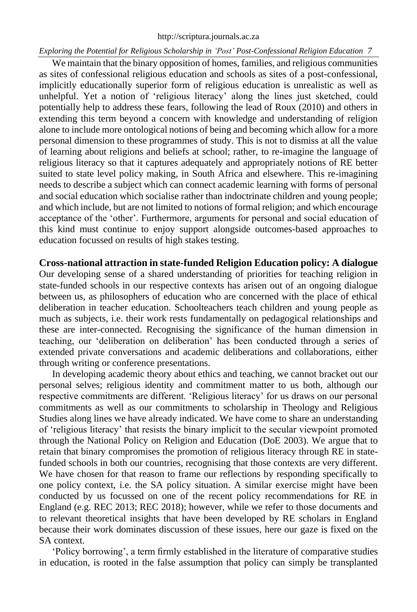#### [http://scriptura.journals.ac.za](http://scriptura.journals.ac.za/)

### *Exploring the Potential for Religious Scholarship in 'Post' Post-Confessional Religion Education 7*

We maintain that the binary opposition of homes, families, and religious communities as sites of confessional religious education and schools as sites of a post-confessional, implicitly educationally superior form of religious education is unrealistic as well as unhelpful. Yet a notion of 'religious literacy' along the lines just sketched, could potentially help to address these fears, following the lead of Roux (2010) and others in extending this term beyond a concern with knowledge and understanding of religion alone to include more ontological notions of being and becoming which allow for a more personal dimension to these programmes of study. This is not to dismiss at all the value of learning about religions and beliefs at school; rather, to re-imagine the language of religious literacy so that it captures adequately and appropriately notions of RE better suited to state level policy making, in South Africa and elsewhere. This re-imagining needs to describe a subject which can connect academic learning with forms of personal and social education which socialise rather than indoctrinate children and young people; and which include, but are not limited to notions of formal religion; and which encourage acceptance of the 'other'. Furthermore, arguments for personal and social education of this kind must continue to enjoy support alongside outcomes-based approaches to education focussed on results of high stakes testing.

**Cross-national attraction in state-funded Religion Education policy: A dialogue** Our developing sense of a shared understanding of priorities for teaching religion in state-funded schools in our respective contexts has arisen out of an ongoing dialogue between us, as philosophers of education who are concerned with the place of ethical deliberation in teacher education. Schoolteachers teach children and young people as much as subjects, i.e. their work rests fundamentally on pedagogical relationships and these are inter-connected. Recognising the significance of the human dimension in teaching, our 'deliberation on deliberation' has been conducted through a series of extended private conversations and academic deliberations and collaborations, either through writing or conference presentations.

In developing academic theory about ethics and teaching, we cannot bracket out our personal selves; religious identity and commitment matter to us both, although our respective commitments are different. 'Religious literacy' for us draws on our personal commitments as well as our commitments to scholarship in Theology and Religious Studies along lines we have already indicated. We have come to share an understanding of 'religious literacy' that resists the binary implicit to the secular viewpoint promoted through the National Policy on Religion and Education (DoE 2003). We argue that to retain that binary compromises the promotion of religious literacy through RE in statefunded schools in both our countries, recognising that those contexts are very different. We have chosen for that reason to frame our reflections by responding specifically to one policy context, i.e. the SA policy situation. A similar exercise might have been conducted by us focussed on one of the recent policy recommendations for RE in England (e.g. REC 2013; REC 2018); however, while we refer to those documents and to relevant theoretical insights that have been developed by RE scholars in England because their work dominates discussion of these issues, here our gaze is fixed on the SA context.

'Policy borrowing', a term firmly established in the literature of comparative studies in education, is rooted in the false assumption that policy can simply be transplanted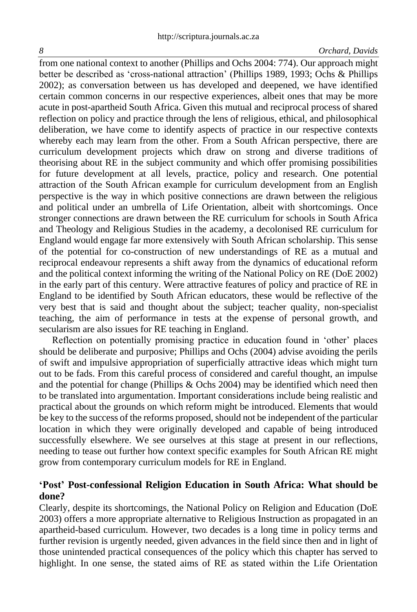#### *8 Orchard, Davids*

from one national context to another (Phillips and Ochs 2004: 774). Our approach might better be described as 'cross-national attraction' (Phillips 1989, 1993; Ochs & Phillips 2002); as conversation between us has developed and deepened, we have identified certain common concerns in our respective experiences, albeit ones that may be more acute in post-apartheid South Africa. Given this mutual and reciprocal process of shared reflection on policy and practice through the lens of religious, ethical, and philosophical deliberation, we have come to identify aspects of practice in our respective contexts whereby each may learn from the other. From a South African perspective, there are curriculum development projects which draw on strong and diverse traditions of theorising about RE in the subject community and which offer promising possibilities for future development at all levels, practice, policy and research. One potential attraction of the South African example for curriculum development from an English perspective is the way in which positive connections are drawn between the religious and political under an umbrella of Life Orientation, albeit with shortcomings. Once stronger connections are drawn between the RE curriculum for schools in South Africa and Theology and Religious Studies in the academy, a decolonised RE curriculum for England would engage far more extensively with South African scholarship. This sense of the potential for co-construction of new understandings of RE as a mutual and reciprocal endeavour represents a shift away from the dynamics of educational reform and the political context informing the writing of the National Policy on RE (DoE 2002) in the early part of this century. Were attractive features of policy and practice of RE in England to be identified by South African educators, these would be reflective of the very best that is said and thought about the subject; teacher quality, non-specialist teaching, the aim of performance in tests at the expense of personal growth, and secularism are also issues for RE teaching in England.

Reflection on potentially promising practice in education found in 'other' places should be deliberate and purposive; Phillips and Ochs (2004) advise avoiding the perils of swift and impulsive appropriation of superficially attractive ideas which might turn out to be fads. From this careful process of considered and careful thought, an impulse and the potential for change (Phillips  $&$  Ochs 2004) may be identified which need then to be translated into argumentation. Important considerations include being realistic and practical about the grounds on which reform might be introduced. Elements that would be key to the success of the reforms proposed, should not be independent of the particular location in which they were originally developed and capable of being introduced successfully elsewhere. We see ourselves at this stage at present in our reflections, needing to tease out further how context specific examples for South African RE might grow from contemporary curriculum models for RE in England.

### **'Post' Post-confessional Religion Education in South Africa: What should be done?**

Clearly, despite its shortcomings, the National Policy on Religion and Education (DoE 2003) offers a more appropriate alternative to Religious Instruction as propagated in an apartheid-based curriculum. However, two decades is a long time in policy terms and further revision is urgently needed, given advances in the field since then and in light of those unintended practical consequences of the policy which this chapter has served to highlight. In one sense, the stated aims of RE as stated within the Life Orientation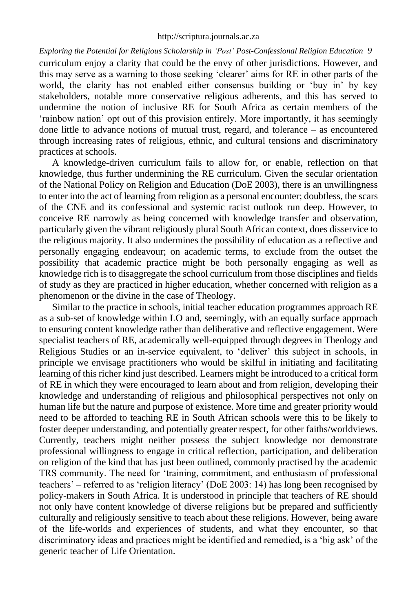curriculum enjoy a clarity that could be the envy of other jurisdictions. However, and this may serve as a warning to those seeking 'clearer' aims for RE in other parts of the world, the clarity has not enabled either consensus building or 'buy in' by key stakeholders, notable more conservative religious adherents, and this has served to undermine the notion of inclusive RE for South Africa as certain members of the 'rainbow nation' opt out of this provision entirely. More importantly, it has seemingly done little to advance notions of mutual trust, regard, and tolerance – as encountered through increasing rates of religious, ethnic, and cultural tensions and discriminatory practices at schools.

A knowledge-driven curriculum fails to allow for, or enable, reflection on that knowledge, thus further undermining the RE curriculum. Given the secular orientation of the National Policy on Religion and Education (DoE 2003), there is an unwillingness to enter into the act of learning from religion as a personal encounter; doubtless, the scars of the CNE and its confessional and systemic racist outlook run deep. However, to conceive RE narrowly as being concerned with knowledge transfer and observation, particularly given the vibrant religiously plural South African context, does disservice to the religious majority. It also undermines the possibility of education as a reflective and personally engaging endeavour; on academic terms, to exclude from the outset the possibility that academic practice might be both personally engaging as well as knowledge rich is to disaggregate the school curriculum from those disciplines and fields of study as they are practiced in higher education, whether concerned with religion as a phenomenon or the divine in the case of Theology.

Similar to the practice in schools, initial teacher education programmes approach RE as a sub-set of knowledge within LO and, seemingly, with an equally surface approach to ensuring content knowledge rather than deliberative and reflective engagement. Were specialist teachers of RE, academically well-equipped through degrees in Theology and Religious Studies or an in-service equivalent, to 'deliver' this subject in schools, in principle we envisage practitioners who would be skilful in initiating and facilitating learning of this richer kind just described. Learners might be introduced to a critical form of RE in which they were encouraged to learn about and from religion, developing their knowledge and understanding of religious and philosophical perspectives not only on human life but the nature and purpose of existence. More time and greater priority would need to be afforded to teaching RE in South African schools were this to be likely to foster deeper understanding, and potentially greater respect, for other faiths/worldviews. Currently, teachers might neither possess the subject knowledge nor demonstrate professional willingness to engage in critical reflection, participation, and deliberation on religion of the kind that has just been outlined, commonly practised by the academic TRS community. The need for 'training, commitment, and enthusiasm of professional teachers' – referred to as 'religion literacy' (DoE 2003: 14) has long been recognised by policy-makers in South Africa. It is understood in principle that teachers of RE should not only have content knowledge of diverse religions but be prepared and sufficiently culturally and religiously sensitive to teach about these religions. However, being aware of the life-worlds and experiences of students, and what they encounter, so that discriminatory ideas and practices might be identified and remedied, is a 'big ask' of the generic teacher of Life Orientation.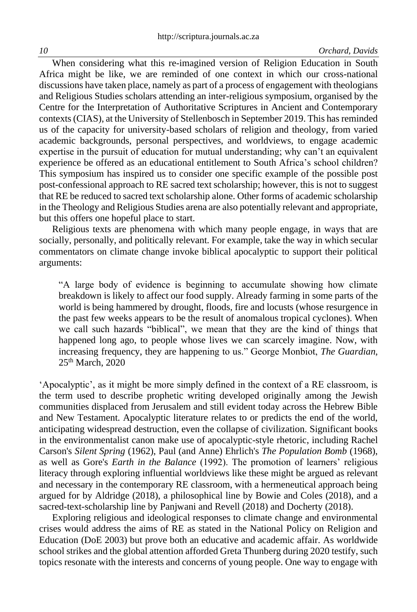When considering what this re-imagined version of Religion Education in South Africa might be like, we are reminded of one context in which our cross-national discussions have taken place, namely as part of a process of engagement with theologians and Religious Studies scholars attending an inter-religious symposium, organised by the Centre for the Interpretation of Authoritative Scriptures in Ancient and Contemporary contexts (CIAS), at the University of Stellenbosch in September 2019. This has reminded us of the capacity for university-based scholars of religion and theology, from varied academic backgrounds, personal perspectives, and worldviews, to engage academic expertise in the pursuit of education for mutual understanding; why can't an equivalent experience be offered as an educational entitlement to South Africa's school children? This symposium has inspired us to consider one specific example of the possible post post-confessional approach to RE sacred text scholarship; however, this is not to suggest that RE be reduced to sacred text scholarship alone. Other forms of academic scholarship in the Theology and Religious Studies arena are also potentially relevant and appropriate, but this offers one hopeful place to start.

Religious texts are phenomena with which many people engage, in ways that are socially, personally, and politically relevant. For example, take the way in which secular commentators on climate change invoke biblical apocalyptic to support their political arguments:

"A large body of evidence is beginning to accumulate showing how climate breakdown is likely to affect our food supply. Already farming in some parts of the world is being hammered by drought, floods, fire and locusts (whose resurgence in the past few weeks appears to be the result of anomalous tropical cyclones). When we call such hazards "biblical", we mean that they are the kind of things that happened long ago, to people whose lives we can scarcely imagine. Now, with increasing frequency, they are happening to us." George Monbiot, *The Guardian*, 25th March, 2020

'Apocalyptic', as it might be more simply defined in the context of a RE classroom, is the term used to describe prophetic writing developed originally among the Jewish communities displaced from Jerusalem and still evident today across the Hebrew Bible and New Testament. Apocalyptic literature relates to or predicts the end of the world, anticipating widespread destruction, even the collapse of civilization. Significant books in the environmentalist canon make use of apocalyptic-style rhetoric, including Rachel Carson's *Silent Spring* (1962), Paul (and Anne) Ehrlich's *The Population Bomb* (1968), as well as Gore's *Earth in the Balance* (1992). The promotion of learners' religious literacy through exploring influential worldviews like these might be argued as relevant and necessary in the contemporary RE classroom, with a hermeneutical approach being argued for by Aldridge (2018), a philosophical line by Bowie and Coles (2018), and a sacred-text-scholarship line by Panjwani and Revell (2018) and Docherty (2018).

Exploring religious and ideological responses to climate change and environmental crises would address the aims of RE as stated in the National Policy on Religion and Education (DoE 2003) but prove both an educative and academic affair. As worldwide school strikes and the global attention afforded Greta Thunberg during 2020 testify, such topics resonate with the interests and concerns of young people. One way to engage with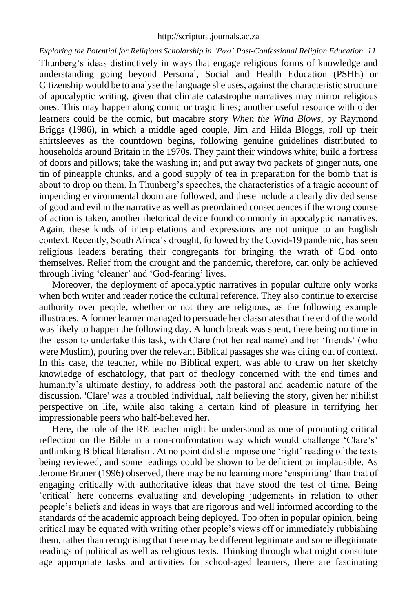#### [http://scriptura.journals.ac.za](http://scriptura.journals.ac.za/)

#### *Exploring the Potential for Religious Scholarship in 'Post' Post-Confessional Religion Education 11*

Thunberg's ideas distinctively in ways that engage religious forms of knowledge and understanding going beyond Personal, Social and Health Education (PSHE) or Citizenship would be to analyse the language she uses, against the characteristic structure of apocalyptic writing, given that climate catastrophe narratives may mirror religious ones. This may happen along comic or tragic lines; another useful resource with older learners could be the comic, but macabre story *When the Wind Blows*, by Raymond Briggs (1986), in which a middle aged couple, Jim and Hilda Bloggs, roll up their shirtsleeves as the countdown begins, following genuine guidelines distributed to households around Britain in the 1970s. They paint their windows white; build a fortress of doors and pillows; take the washing in; and put away two packets of ginger nuts, one tin of pineapple chunks, and a good supply of tea in preparation for the bomb that is about to drop on them. In Thunberg's speeches, the characteristics of a tragic account of impending environmental doom are followed, and these include a clearly divided sense of good and evil in the narrative as well as preordained consequences if the wrong course of action is taken, another rhetorical device found commonly in apocalyptic narratives. Again, these kinds of interpretations and expressions are not unique to an English context. Recently, South Africa's drought, followed by the Covid-19 pandemic, has seen religious leaders berating their congregants for bringing the wrath of God onto themselves. Relief from the drought and the pandemic, therefore, can only be achieved through living 'cleaner' and 'God-fearing' lives.

Moreover, the deployment of apocalyptic narratives in popular culture only works when both writer and reader notice the cultural reference. They also continue to exercise authority over people, whether or not they are religious, as the following example illustrates. A former learner managed to persuade her classmates that the end of the world was likely to happen the following day. A lunch break was spent, there being no time in the lesson to undertake this task, with Clare (not her real name) and her 'friends' (who were Muslim), pouring over the relevant Biblical passages she was citing out of context. In this case, the teacher, while no Biblical expert, was able to draw on her sketchy knowledge of eschatology, that part of theology concerned with the end times and humanity's ultimate destiny, to address both the pastoral and academic nature of the discussion. 'Clare' was a troubled individual, half believing the story, given her nihilist perspective on life, while also taking a certain kind of pleasure in terrifying her impressionable peers who half-believed her.

Here, the role of the RE teacher might be understood as one of promoting critical reflection on the Bible in a non-confrontation way which would challenge 'Clare's' unthinking Biblical literalism. At no point did she impose one 'right' reading of the texts being reviewed, and some readings could be shown to be deficient or implausible. As Jerome Bruner (1996) observed, there may be no learning more 'enspiriting' than that of engaging critically with authoritative ideas that have stood the test of time. Being 'critical' here concerns evaluating and developing judgements in relation to other people's beliefs and ideas in ways that are rigorous and well informed according to the standards of the academic approach being deployed. Too often in popular opinion, being critical may be equated with writing other people's views off or immediately rubbishing them, rather than recognising that there may be different legitimate and some illegitimate readings of political as well as religious texts. Thinking through what might constitute age appropriate tasks and activities for school-aged learners, there are fascinating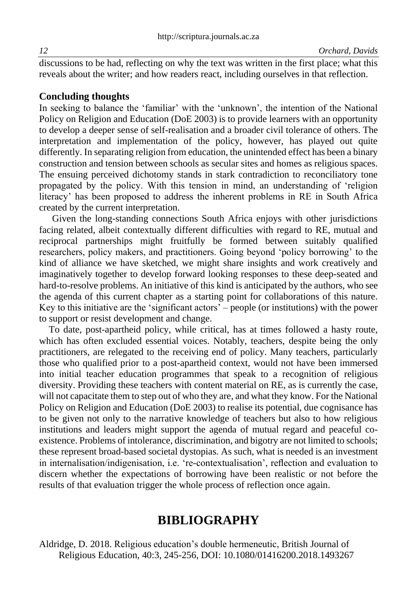discussions to be had, reflecting on why the text was written in the first place; what this reveals about the writer; and how readers react, including ourselves in that reflection.

### **Concluding thoughts**

In seeking to balance the 'familiar' with the 'unknown', the intention of the National Policy on Religion and Education (DoE 2003) is to provide learners with an opportunity to develop a deeper sense of self-realisation and a broader civil tolerance of others. The interpretation and implementation of the policy, however, has played out quite differently. In separating religion from education, the unintended effect has been a binary construction and tension between schools as secular sites and homes as religious spaces. The ensuing perceived dichotomy stands in stark contradiction to reconciliatory tone propagated by the policy. With this tension in mind, an understanding of 'religion literacy' has been proposed to address the inherent problems in RE in South Africa created by the current interpretation.

Given the long-standing connections South Africa enjoys with other jurisdictions facing related, albeit contextually different difficulties with regard to RE, mutual and reciprocal partnerships might fruitfully be formed between suitably qualified researchers, policy makers, and practitioners. Going beyond 'policy borrowing' to the kind of alliance we have sketched, we might share insights and work creatively and imaginatively together to develop forward looking responses to these deep-seated and hard-to-resolve problems. An initiative of this kind is anticipated by the authors, who see the agenda of this current chapter as a starting point for collaborations of this nature. Key to this initiative are the 'significant actors' – people (or institutions) with the power to support or resist development and change.

 To date, post-apartheid policy, while critical, has at times followed a hasty route, which has often excluded essential voices. Notably, teachers, despite being the only practitioners, are relegated to the receiving end of policy. Many teachers, particularly those who qualified prior to a post-apartheid context, would not have been immersed into initial teacher education programmes that speak to a recognition of religious diversity. Providing these teachers with content material on RE, as is currently the case, will not capacitate them to step out of who they are, and what they know. For the National Policy on Religion and Education (DoE 2003) to realise its potential, due cognisance has to be given not only to the narrative knowledge of teachers but also to how religious institutions and leaders might support the agenda of mutual regard and peaceful coexistence. Problems of intolerance, discrimination, and bigotry are not limited to schools; these represent broad-based societal dystopias. As such, what is needed is an investment in internalisation/indigenisation, i.e. 're-contextualisation', reflection and evaluation to discern whether the expectations of borrowing have been realistic or not before the results of that evaluation trigger the whole process of reflection once again.

## **BIBLIOGRAPHY**

Aldridge, D. 2018. Religious education's double hermeneutic, British Journal of Religious Education, 40:3, 245-256, DOI: [10.1080/01416200.2018.1493267](https://doi.org/10.1080/01416200.2018.1493267)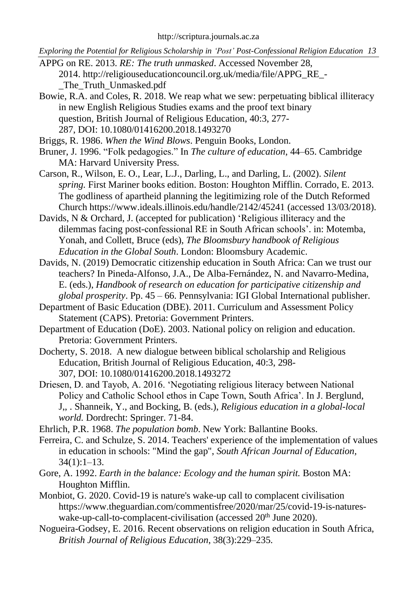- APPG on RE. 2013. *RE: The truth unmasked*. Accessed November 28, 2014. [http://religiouseducationcouncil.org.uk/media/file/APPG\\_RE\\_-](http://religiouseducationcouncil.org.uk/media/file/APPG_RE_-_The_Truth_Unmasked.pdf) [\\_The\\_Truth\\_Unmasked.pdf](http://religiouseducationcouncil.org.uk/media/file/APPG_RE_-_The_Truth_Unmasked.pdf)
- Bowie, R.A. and Coles, R. 2018. We reap what we sew: perpetuating biblical illiteracy in new English Religious Studies exams and the proof text binary question, British Journal of Religious Education, 40:3, 277- 287, DOI: [10.1080/01416200.2018.1493270](https://doi.org/10.1080/01416200.2018.1493270)
- Briggs, R. 1986. *When the Wind Blows*. Penguin Books, London.
- Bruner, J. 1996. "Folk pedagogies." In *The culture of education*, 44–65. Cambridge MA: Harvard University Press.
- Carson, R., Wilson, E. O., Lear, L.J., Darling, L., and Darling, L. (2002). *Silent spring.* First Mariner books edition. Boston: Houghton Mifflin. Corrado, E. 2013. The godliness of apartheid planning the legitimizing role of the Dutch Reformed Church<https://www.ideals.illinois.edu/handle/2142/45241> (accessed 13/03/2018).
- Davids, N & Orchard, J. (accepted for publication) 'Religious illiteracy and the [dilemmas facing post-confessional RE in South African schools'.](http://www.bristol.ac.uk/education/people/231342/pub/203126299) in: Motemba, Yonah, and Collett, Bruce (eds), *The Bloomsbury handbook of Religious Education in the Global South*. London: Bloomsbury Academic.
- Davids, N. (2019) Democratic citizenship education in South Africa: Can we trust our teachers? In Pineda-Alfonso, J.A., De Alba-Fernández, N. and Navarro-Medina, E. (eds.), *Handbook of research on education for participative citizenship and global prosperity*. Pp. 45 – 66. Pennsylvania: IGI Global International publisher.
- Department of Basic Education (DBE). 2011. Curriculum and Assessment Policy Statement (CAPS). Pretoria: Government Printers.
- Department of Education (DoE). 2003. National policy on religion and education. Pretoria: Government Printers.
- Docherty, S. 2018. A new dialogue between biblical scholarship and Religious Education, British Journal of Religious Education, 40:3, 298- 307, DOI: [10.1080/01416200.2018.1493272](https://doi.org/10.1080/01416200.2018.1493272)
- Driesen, D. and Tayob, A. 2016. 'Negotiating religious literacy between National Policy and Catholic School ethos in Cape Town, South Africa'. In J. Berglund, J,, . Shanneik, Y., and Bocking, B. (eds.), *Religious education in a global-local world.* Dordrecht: Springer. 71-84.
- Ehrlich, P.R. 1968. *The population bomb*. New York: Ballantine Books.
- Ferreira, C. and Schulze, S. 2014. Teachers' experience of the implementation of values in education in schools: "Mind the gap", *South African Journal of Education,*  $34(1):1-13.$
- Gore, A. 1992. *Earth in the balance: Ecology and the human spirit.* Boston MA: Houghton Mifflin.
- Monbiot, G. 2020. Covid-19 is nature's wake-up call to complacent civilisation [https://www.theguardian.com/commentisfree/2020/mar/25/covid-19-is-natures](https://www.theguardian.com/commentisfree/2020/mar/25/covid-19-is-natures-wake-up-call-to-complacent-civilisation)[wake-up-call-to-complacent-civilisation](https://www.theguardian.com/commentisfree/2020/mar/25/covid-19-is-natures-wake-up-call-to-complacent-civilisation) (accessed 20<sup>th</sup> June 2020).
- Nogueira-Godsey, E. 2016. Recent observations on religion education in South Africa, *British Journal of Religious Education*, 38(3):229–235.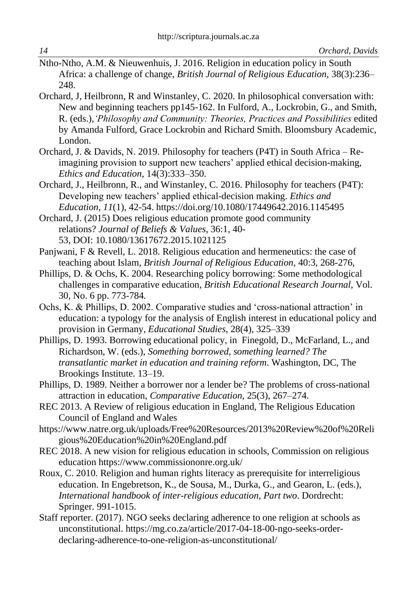- Ntho-Ntho, A.M. & Nieuwenhuis, J. 2016. Religion in education policy in South Africa: a challenge of change, *British Journal of Religious Education*, 38(3):236– 248.
- Orchard, J, Heilbronn, R and Winstanley, C. 2020. In philosophical conversation with: New and beginning teachers pp145-162. In Fulford, A., Lockrobin, G., and Smith, R. (eds.),*'Philosophy and Community: Theories, Practices and Possibilities* edited by Amanda Fulford, Grace Lockrobin and Richard Smith. Bloomsbury Academic, London.
- Orchard, J. & Davids, N. 2019. Philosophy for teachers (P4T) in South Africa Reimagining provision to support new teachers' applied ethical decision-making, *Ethics and Education,* 14(3):333–350.
- Orchard, J., Heilbronn, R., and Winstanley, C. 2016. Philosophy for teachers (P4T): Developing new teachers' applied ethical-decision making. *Ethics and Education*, *11*(1), 42-54. <https://doi.org/10.1080/17449642.2016.1145495>
- Orchard, J. (2015) Does religious education promote good community relations? *Journal of Beliefs & Values,* 36:1, 40- 53, DOI: [10.1080/13617672.2015.1021125](https://doi.org/10.1080/13617672.2015.1021125)
- Panjwani, F & Revell, L. 2018. Religious education and hermeneutics: the case of teaching about Islam, *British Journal of Religious Education,* 40:3, 268-276,
- Phillips, D. & Ochs, K. 2004. Researching policy borrowing: Some methodological challenges in comparative education, *British Educational Research Journal,* Vol. 30, No. 6 pp. 773-784*.*
- Ochs, K. & Phillips, D. 2002. Comparative studies and 'cross-national attraction' in education: a typology for the analysis of English interest in educational policy and provision in Germany, *Educational Studies*, 28(4), 325–339
- Phillips, D. 1993. Borrowing educational policy, in Finegold, D., McFarland, L., and Richardson, W. (eds.), *Something borrowed, something learned? The transatlantic market in education and training reform*. Washington, DC, The Brookings Institute. 13–19.
- Phillips, D. 1989. Neither a borrower nor a lender be? The problems of cross-national attraction in education, *Comparative Education*, 25(3), 267–274.
- REC 2013. A Review of religious education in England, The Religious Education Council of England and Wales
- [https://www.natre.org.uk/uploads/Free%20Resources/2013%20Review%20of%20Reli](https://www.natre.org.uk/uploads/Free%20Resources/2013%20Review%20of%20Religious%20Education%20in%20England.pdf) [gious%20Education%20in%20England.pdf](https://www.natre.org.uk/uploads/Free%20Resources/2013%20Review%20of%20Religious%20Education%20in%20England.pdf)
- REC 2018. A new vision for religious education in schools, Commission on religious education <https://www.commissiononre.org.uk/>
- Roux, C. 2010. Religion and human rights literacy as prerequisite for interreligious education. In Engebretson, K., de Sousa, M., Durka, G., and Gearon, L. (eds.), *International handbook of inter-religious education, Part two*. Dordrecht: Springer. 991-1015.
- Staff reporter. (2017). NGO seeks declaring adherence to one religion at schools as unconstitutional[. https://mg.co.za/article/2017-04-18-00-ngo-seeks-order](https://mg.co.za/article/2017-04-18-00-ngo-seeks-order-declaring-adherence-to-one-religion-as-unconstitutional/)[declaring-adherence-to-one-religion-as-unconstitutional/](https://mg.co.za/article/2017-04-18-00-ngo-seeks-order-declaring-adherence-to-one-religion-as-unconstitutional/)